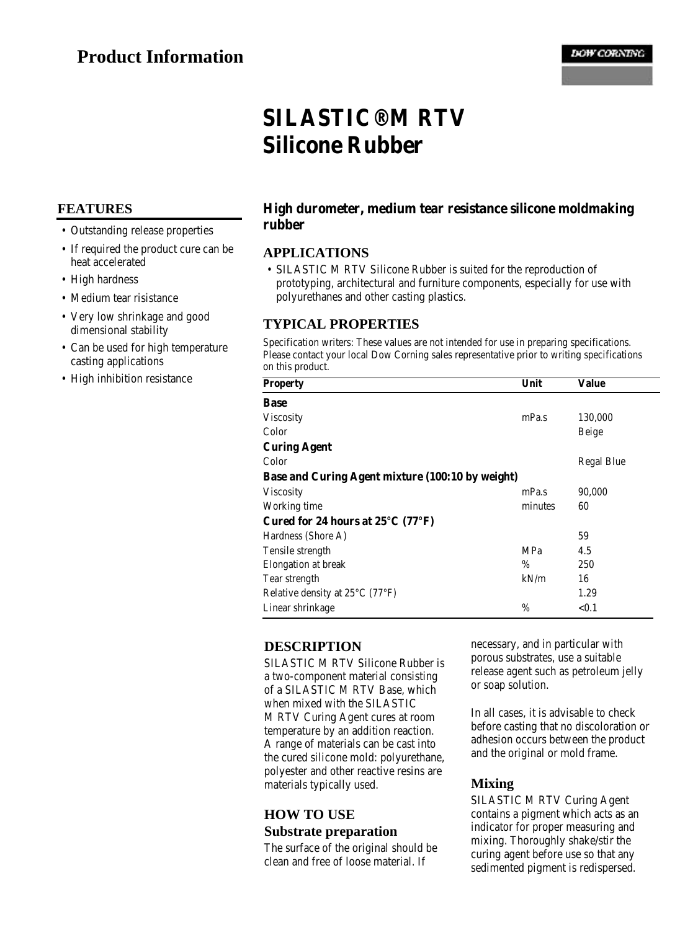# **SILASTIC® M RTV Silicone Rubber**

## **FEATURES**

- Outstanding release properties
- If required the product cure can be heat accelerated
- High hardness
- Medium tear risistance
- Very low shrinkage and good dimensional stability
- Can be used for high temperature casting applications
- High inhibition resistance

#### **High durometer, medium tear resistance silicone moldmaking rubber**

## **APPLICATIONS**

• SILASTIC M RTV Silicone Rubber is suited for the reproduction of prototyping, architectural and furniture components, especially for use with polyurethanes and other casting plastics.

#### **TYPICAL PROPERTIES**

Specification writers: These values are not intended for use in preparing specifications. Please contact your local Dow Corning sales representative prior to writing specifications on this product.

| <b>Property</b>                                        | Unit       | Value             |
|--------------------------------------------------------|------------|-------------------|
| Base                                                   |            |                   |
| <b>Viscosity</b>                                       | mPa.s      | 130,000           |
| Color                                                  |            | <b>Beige</b>      |
| <b>Curing Agent</b>                                    |            |                   |
| Color                                                  |            | <b>Regal Blue</b> |
| Base and Curing Agent mixture (100:10 by weight)       |            |                   |
| <b>Viscosity</b>                                       | mPa.s      | 90,000            |
| Working time                                           | minutes    | 60                |
| Cured for 24 hours at $25^{\circ}$ C (77 $^{\circ}$ F) |            |                   |
| Hardness (Shore A)                                     |            | 59                |
| Tensile strength                                       | <b>MPa</b> | 4.5               |
| Elongation at break                                    | %          | 250               |
| Tear strength                                          | kN/m       | 16                |
| Relative density at $25^{\circ}$ C (77 $^{\circ}$ F)   |            | 1.29              |
| Linear shrinkage                                       | %          | < 0.1             |

## **DESCRIPTION**

SILASTIC M RTV Silicone Rubber is a two-component material consisting of a SILASTIC M RTV Base, which when mixed with the SILASTIC M RTV Curing Agent cures at room temperature by an addition reaction. A range of materials can be cast into the cured silicone mold: polyurethane, polyester and other reactive resins are materials typically used.

## **HOW TO USE Substrate preparation**

The surface of the original should be clean and free of loose material. If

necessary, and in particular with porous substrates, use a suitable release agent such as petroleum jelly or soap solution.

In all cases, it is advisable to check before casting that no discoloration or adhesion occurs between the product and the original or mold frame.

## **Mixing**

SILASTIC M RTV Curing Agent contains a pigment which acts as an indicator for proper measuring and mixing. Thoroughly shake/stir the curing agent before use so that any sedimented pigment is redispersed.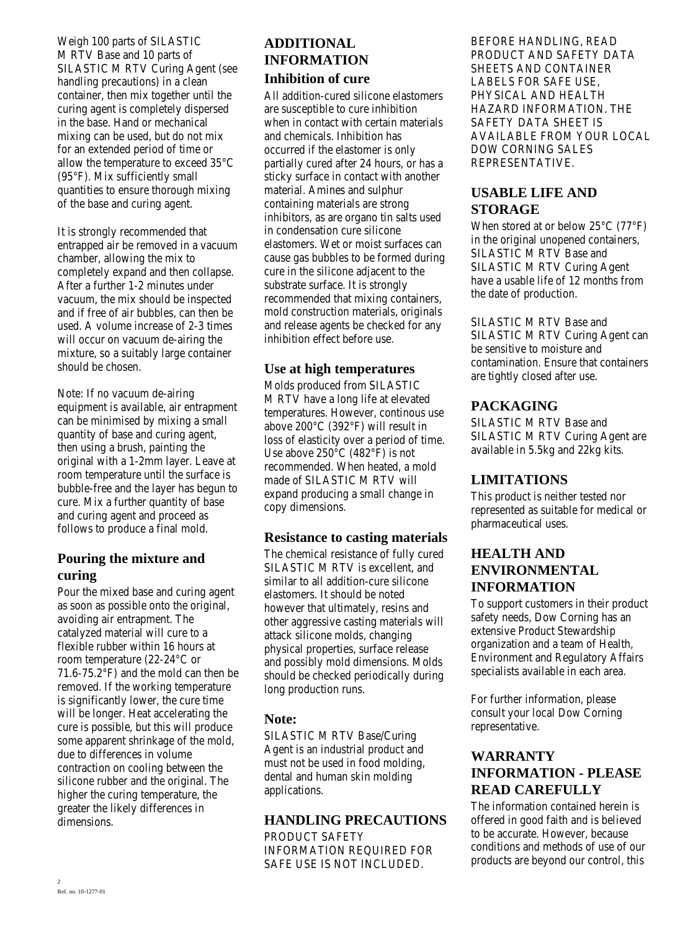Weigh 100 parts of SILASTIC M RTV Base and 10 parts of SILASTIC M RTV Curing Agent (see handling precautions) in a clean container, then mix together until the curing agent is completely dispersed in the base. Hand or mechanical mixing can be used, but do not mix for an extended period of time or allow the temperature to exceed 35°C (95°F). Mix sufficiently small quantities to ensure thorough mixing of the base and curing agent.

It is strongly recommended that entrapped air be removed in a vacuum chamber, allowing the mix to completely expand and then collapse. After a further 1-2 minutes under vacuum, the mix should be inspected and if free of air bubbles, can then be used. A volume increase of 2-3 times will occur on vacuum de-airing the mixture, so a suitably large container should be chosen.

Note: If no vacuum de-airing equipment is available, air entrapment can be minimised by mixing a small quantity of base and curing agent, then using a brush, painting the original with a 1-2mm layer. Leave at room temperature until the surface is bubble-free and the layer has begun to cure. Mix a further quantity of base and curing agent and proceed as follows to produce a final mold.

## **Pouring the mixture and curing**

Pour the mixed base and curing agent as soon as possible onto the original, avoiding air entrapment. The catalyzed material will cure to a flexible rubber within 16 hours at room temperature (22-24°C or 71.6-75.2 $\degree$ F) and the mold can then be removed. If the working temperature is significantly lower, the cure time will be longer. Heat accelerating the cure is possible, but this will produce some apparent shrinkage of the mold, due to differences in volume contraction on cooling between the silicone rubber and the original. The higher the curing temperature, the greater the likely differences in dimensions.

# **ADDITIONAL INFORMATION Inhibition of cure**

All addition-cured silicone elastomers are susceptible to cure inhibition when in contact with certain materials and chemicals. Inhibition has occurred if the elastomer is only partially cured after 24 hours, or has a sticky surface in contact with another material. Amines and sulphur containing materials are strong inhibitors, as are organo tin salts used in condensation cure silicone elastomers. Wet or moist surfaces can cause gas bubbles to be formed during cure in the silicone adjacent to the substrate surface. It is strongly recommended that mixing containers, mold construction materials, originals and release agents be checked for any inhibition effect before use.

## **Use at high temperatures**

Molds produced from SILASTIC M RTV have a long life at elevated temperatures. However, continous use above 200°C (392°F) will result in loss of elasticity over a period of time. Use above 250°C (482°F) is not recommended. When heated, a mold made of SILASTIC M RTV will expand producing a small change in copy dimensions.

## **Resistance to casting materials**

The chemical resistance of fully cured SILASTIC M RTV is excellent, and similar to all addition-cure silicone elastomers. It should be noted however that ultimately, resins and other aggressive casting materials will attack silicone molds, changing physical properties, surface release and possibly mold dimensions. Molds should be checked periodically during long production runs.

## **Note:**

SILASTIC M RTV Base/Curing Agent is an industrial product and must not be used in food molding, dental and human skin molding applications.

## **HANDLING PRECAUTIONS**

PRODUCT SAFETY INFORMATION REQUIRED FOR SAFE USE IS NOT INCLUDED.

BEFORE HANDLING, READ PRODUCT AND SAFETY DATA SHEETS AND CONTAINER LABELS FOR SAFE USE, PHYSICAL AND HEALTH HAZARD INFORMATION. THE SAFETY DATA SHEET IS AVAILABLE FROM YOUR LOCAL DOW CORNING SALES REPRESENTATIVE.

## **USABLE LIFE AND STORAGE**

When stored at or below 25°C (77°F) in the original unopened containers, SILASTIC M RTV Base and SILASTIC M RTV Curing Agent have a usable life of 12 months from the date of production.

SILASTIC M RTV Base and SILASTIC M RTV Curing Agent can be sensitive to moisture and contamination. Ensure that containers are tightly closed after use.

## **PACKAGING**

SILASTIC M RTV Base and SILASTIC M RTV Curing Agent are available in 5.5kg and 22kg kits.

## **LIMITATIONS**

This product is neither tested nor represented as suitable for medical or pharmaceutical uses.

## **HEALTH AND ENVIRONMENTAL INFORMATION**

To support customers in their product safety needs, Dow Corning has an extensive Product Stewardship organization and a team of Health, Environment and Regulatory Affairs specialists available in each area.

For further information, please consult your local Dow Corning representative.

## **WARRANTY INFORMATION - PLEASE READ CAREFULLY**

The information contained herein is offered in good faith and is believed to be accurate. However, because conditions and methods of use of our products are beyond our control, this